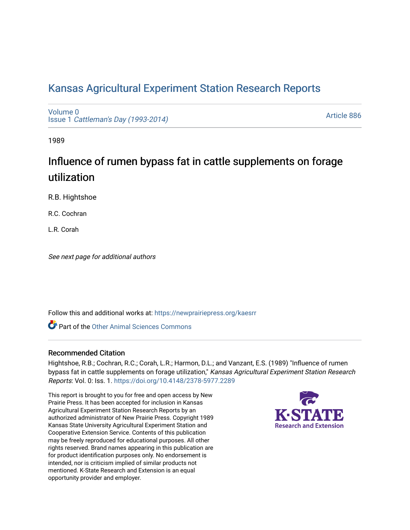# [Kansas Agricultural Experiment Station Research Reports](https://newprairiepress.org/kaesrr)

[Volume 0](https://newprairiepress.org/kaesrr/vol0) Issue 1 [Cattleman's Day \(1993-2014\)](https://newprairiepress.org/kaesrr/vol0/iss1) 

[Article 886](https://newprairiepress.org/kaesrr/vol0/iss1/886) 

1989

# Influence of rumen bypass fat in cattle supplements on forage utilization

R.B. Hightshoe

R.C. Cochran

L.R. Corah

See next page for additional authors

Follow this and additional works at: [https://newprairiepress.org/kaesrr](https://newprairiepress.org/kaesrr?utm_source=newprairiepress.org%2Fkaesrr%2Fvol0%2Fiss1%2F886&utm_medium=PDF&utm_campaign=PDFCoverPages) 

**C** Part of the [Other Animal Sciences Commons](http://network.bepress.com/hgg/discipline/82?utm_source=newprairiepress.org%2Fkaesrr%2Fvol0%2Fiss1%2F886&utm_medium=PDF&utm_campaign=PDFCoverPages)

## Recommended Citation

Hightshoe, R.B.; Cochran, R.C.; Corah, L.R.; Harmon, D.L.; and Vanzant, E.S. (1989) "Influence of rumen bypass fat in cattle supplements on forage utilization," Kansas Agricultural Experiment Station Research Reports: Vol. 0: Iss. 1.<https://doi.org/10.4148/2378-5977.2289>

This report is brought to you for free and open access by New Prairie Press. It has been accepted for inclusion in Kansas Agricultural Experiment Station Research Reports by an authorized administrator of New Prairie Press. Copyright 1989 Kansas State University Agricultural Experiment Station and Cooperative Extension Service. Contents of this publication may be freely reproduced for educational purposes. All other rights reserved. Brand names appearing in this publication are for product identification purposes only. No endorsement is intended, nor is criticism implied of similar products not mentioned. K-State Research and Extension is an equal opportunity provider and employer.

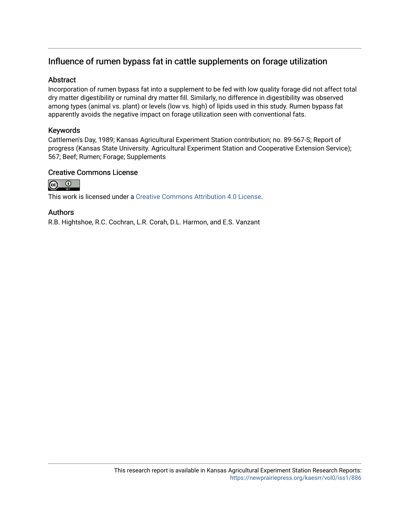# Influence of rumen bypass fat in cattle supplements on forage utilization

## **Abstract**

Incorporation of rumen bypass fat into a supplement to be fed with low quality forage did not affect total dry matter digestibility or ruminal dry matter fill. Similarly, no difference in digestibility was observed among types (animal vs. plant) or levels (low vs. high) of lipids used in this study. Rumen bypass fat apparently avoids the negative impact on forage utilization seen with conventional fats.

## Keywords

Cattlemen's Day, 1989; Kansas Agricultural Experiment Station contribution; no. 89-567-S; Report of progress (Kansas State University. Agricultural Experiment Station and Cooperative Extension Service); 567; Beef; Rumen; Forage; Supplements

#### Creative Commons License



This work is licensed under a [Creative Commons Attribution 4.0 License](https://creativecommons.org/licenses/by/4.0/).

#### Authors

R.B. Hightshoe, R.C. Cochran, L.R. Corah, D.L. Harmon, and E.S. Vanzant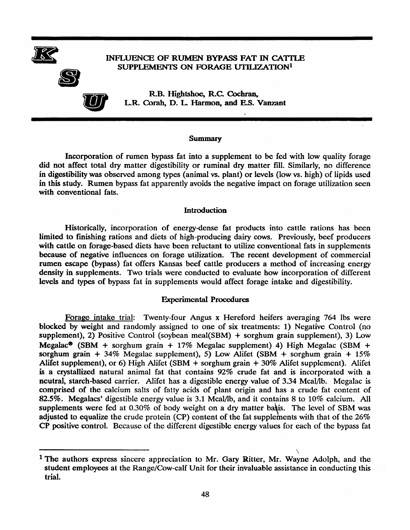

#### INFLUENCE OF RUMEN BYPASS FAT IN CATTLE SUPPLEMENTS ON FORAGE UTILIZATION<sup>1</sup>



R.B. Hightshoe, R.C. Cochran, L.R. Corah, D. L. Harmon, and E.S. Vanzant

#### **Summary**

Incorporation of rumen bypass fat into a supplement to be fed with low quality forage did not affect total dry matter digestibility or ruminal dry matter fill. Similarly, no difference in digestibility was observed among types (animal vs. plant) or levels (low vs. high) of lipids used in this study. Rumen bypass fat apparently avoids the negative impact on forage utilization seen with conventional fats.

#### Introduction

Historically, incorporation of energy-dense fat products into cattle rations has been limited to finishing rations and diets of high-producing dairy cows. Previously, beef producers with cattle on forage-based diets have been reluctant to utilize conventional fats in supplements because of negative influences on forage utilization. The recent development of commercial rumen escape (bypass) fat offers Kansas beef cattle producers a method of increasing energy density in supplements. Two trials were conducted to evaluate how incorporation of different levels and types of bypass fat in supplements would affect forage intake and digestibility.

#### **Experimental Procedures**

Forage intake trial: Twenty-four Angus x Hereford heifers averaging 764 lbs were blocked by weight and randomly assigned to one of six treatments: 1) Negative Control (no supplement), 2) Positive Control (soybean meal(SBM)  $+$  sorghum grain supplement), 3) Low Megalac<sup>®</sup> (SBM + sorghum grain + 17% Megalac supplement) 4) High Megalac (SBM + sorghum grain + 34% Megalac supplement), 5) Low Alifet (SBM + sorghum grain +  $15\%$ Alifet supplement), or 6) High Alifet (SBM  $+$  sorghum grain  $+$  30% Alifet supplement). Alifet is a crystallized natural animal fat that contains 92% crude fat and is incorporated with a neutral, starch-based carrier. Alifet has a digestible energy value of 3.34 Mcal/lb. Megalac is comprised of the calcium salts of fatty acids of plant origin and has a crude fat content of 82.5%. Megalacs' digestible energy value is 3.1 Mcal/lb, and it contains 8 to 10% calcium. All supplements were fed at 0.30% of body weight on a dry matter basis. The level of SBM was adjusted to equalize the crude protein (CP) content of the fat supplements with that of the  $26\%$ CP positive control. Because of the different digestible energy values for each of the bypass fat

<sup>&</sup>lt;sup>1</sup> The authors express sincere appreciation to Mr. Gary Ritter, Mr. Wayne Adolph, and the student employees at the Range/Cow-calf Unit for their invaluable assistance in conducting this trial.